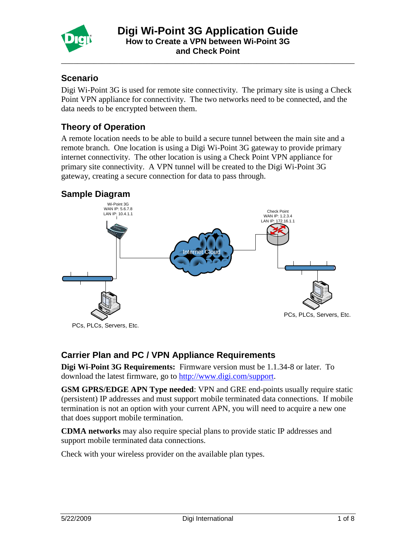

\_\_\_\_\_\_\_\_\_\_\_\_\_\_\_\_\_\_\_\_\_\_\_\_\_\_\_\_\_\_\_\_\_\_\_\_\_\_\_\_\_\_\_\_\_\_\_\_\_\_\_\_\_\_\_\_\_\_\_\_\_\_\_\_\_\_\_\_\_\_\_\_

### **Scenario**

Digi Wi-Point 3G is used for remote site connectivity. The primary site is using a Check Point VPN appliance for connectivity. The two networks need to be connected, and the data needs to be encrypted between them.

# **Theory of Operation**

A remote location needs to be able to build a secure tunnel between the main site and a remote branch. One location is using a Digi Wi-Point 3G gateway to provide primary internet connectivity. The other location is using a Check Point VPN appliance for primary site connectivity. A VPN tunnel will be created to the Digi Wi-Point 3G gateway, creating a secure connection for data to pass through.

### **Sample Diagram**



### **Carrier Plan and PC / VPN Appliance Requirements**

**Digi Wi-Point 3G Requirements:** Firmware version must be 1.1.34-8 or later. To download the latest firmware, go to [http://www.digi.com/support.](http://www.digi.com/support)

**GSM GPRS/EDGE APN Type needed**: VPN and GRE end-points usually require static (persistent) IP addresses and must support mobile terminated data connections. If mobile termination is not an option with your current APN, you will need to acquire a new one that does support mobile termination.

**CDMA networks** may also require special plans to provide static IP addresses and support mobile terminated data connections.

Check with your wireless provider on the available plan types.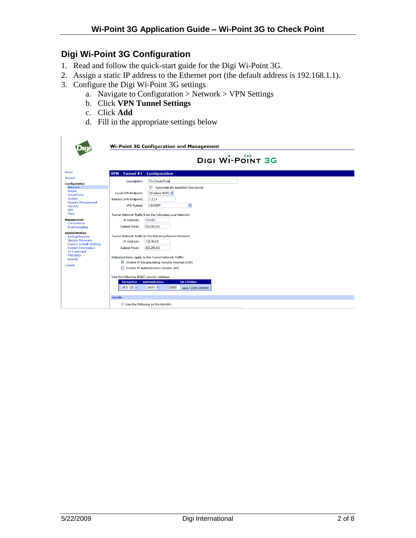# **Digi Wi-Point 3G Configuration**

- 1. Read and follow the quick-start guide for the Digi Wi-Point 3G.
- 2. Assign a static IP address to the Ethernet port (the default address is 192.168.1.1).
- 3. Configure the Digi Wi-Point 3G settings
	- a. Navigate to Configuration > Network > VPN Settings
	- b. Click **VPN Tunnel Settings**
	- c. Click **Add**
	- d. Fill in the appropriate settings below

|                                                                                                                                                                                                  | <b>Wi-Point 3G Configuration and Management</b>                                                                                                                                                                                                                               |
|--------------------------------------------------------------------------------------------------------------------------------------------------------------------------------------------------|-------------------------------------------------------------------------------------------------------------------------------------------------------------------------------------------------------------------------------------------------------------------------------|
|                                                                                                                                                                                                  | DIGI WI-POINT 3G                                                                                                                                                                                                                                                              |
| Home                                                                                                                                                                                             | VPN - Tunnel #1 - Configuration                                                                                                                                                                                                                                               |
| Wizard<br><b>Configuration</b><br><b>Network</b><br>Mobile<br><b>Serial Ports</b>                                                                                                                | <b>To Check Point</b><br>Description:<br>$\overline{\mathbf{v}}$<br>Automatically establish this tunnel<br>Wireless WAN $\vee$<br><b>Local VPN Endpoint:</b>                                                                                                                  |
| System<br><b>Remote Management</b><br>Security<br><b>GPS</b><br>Time                                                                                                                             | 1.2.3.4<br><b>Remote VPN Endpoint:</b><br><b>ISAKMP</b><br>$\checkmark$<br><b>VPN Tunnel:</b>                                                                                                                                                                                 |
| <b>Management</b><br>Connections<br><b>Event Logging</b>                                                                                                                                         | Tunnel Network Traffic from the following Local Network:<br>10.4.0.0<br>IP Address:<br>255,255.0.0<br>Subnet Mask:                                                                                                                                                            |
| <b>Administration</b><br>Backup/Restore<br><b>Update Firmware</b><br><b>Factory Default Settings</b><br><b>System Information</b><br><b>AT Command</b><br><b>PIN Utility</b><br>Reboot<br>Logout | Tunnel Network Traffic to the following Remote Network:<br>172.16.0.0<br><b>IP Address:</b><br>255.255.0.0<br>Subnet Mask:<br>Following Policy apply to the Tunnel Network Traffic:<br>Enable IP Encapsulating Security Payload (ESP)<br>Enable IP Authentication Header (AH) |
|                                                                                                                                                                                                  | Use the following IPSEC security settings:<br><b>Authentication</b><br><b>SA Lifetime</b><br><b>Encryption</b><br>AES-128 V<br>$SHA1 \vee$<br>28800<br>secs (1200-28800)                                                                                                      |
|                                                                                                                                                                                                  | Identity                                                                                                                                                                                                                                                                      |
|                                                                                                                                                                                                  | $\bigcirc$ Use the following as the identity:                                                                                                                                                                                                                                 |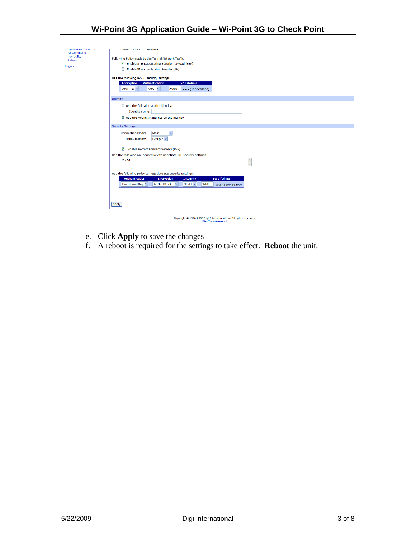| <b>Jystem miorination</b><br><b>AT Command</b> | JUDITEL MOON.<br><b>LJJ.LJJ.U.U</b>                                                                 |
|------------------------------------------------|-----------------------------------------------------------------------------------------------------|
| <b>PIN Utility</b>                             |                                                                                                     |
| Reboot                                         | Following Policy apply to the Tunnel Network Traffic:                                               |
|                                                | Enable IP Encapsulating Security Payload (ESP)                                                      |
| Logout                                         | Enable IP Authentication Header (AH)                                                                |
|                                                |                                                                                                     |
|                                                | Use the following IPSEC security settings:                                                          |
|                                                | <b>SA Lifetime</b><br><b>Encryption</b><br><b>Authentication</b>                                    |
|                                                |                                                                                                     |
|                                                | AES-128 V<br>$SHA1 \times$<br>28800<br>secs (1200-28800)                                            |
|                                                |                                                                                                     |
|                                                | Identity                                                                                            |
|                                                | $\bigcirc$ Use the following as the identity:                                                       |
|                                                | <b>Identity string:</b>                                                                             |
|                                                |                                                                                                     |
|                                                | ⊙ Use the Mobile IP address as the identity                                                         |
|                                                |                                                                                                     |
|                                                | <b>Security Settings</b>                                                                            |
|                                                | Main<br>$\checkmark$<br><b>Connection Mode:</b>                                                     |
|                                                | Group $2 \vee$<br>Diffie-Hellman:                                                                   |
|                                                |                                                                                                     |
|                                                | Enable Perfect Forward Secrecy (PFS)                                                                |
|                                                |                                                                                                     |
|                                                | Use the following pre-shared key to negotiate IKE security settings:                                |
|                                                | 123456<br>A                                                                                         |
|                                                |                                                                                                     |
|                                                |                                                                                                     |
|                                                | Use the following policy to negotiate IKE security settings:                                        |
|                                                | <b>Authentication</b><br><b>SA Lifetime</b><br><b>Encryption</b><br><b>Integrity</b>                |
|                                                | Pre-Shared Key<br>$SHA1 \vee$<br>86400<br><b>AES</b> (128-bit)<br>$\checkmark$<br>secs (1200-86400) |
|                                                |                                                                                                     |
|                                                |                                                                                                     |
|                                                |                                                                                                     |
|                                                | Apply                                                                                               |
|                                                |                                                                                                     |
|                                                |                                                                                                     |
|                                                | Copyright @ 1996-2008 Digi International Inc. All rights reserved.                                  |
|                                                | http://www.digi.com/                                                                                |

- e. Click **Apply** to save the changes
- f. A reboot is required for the settings to take effect. **Reboot** the unit.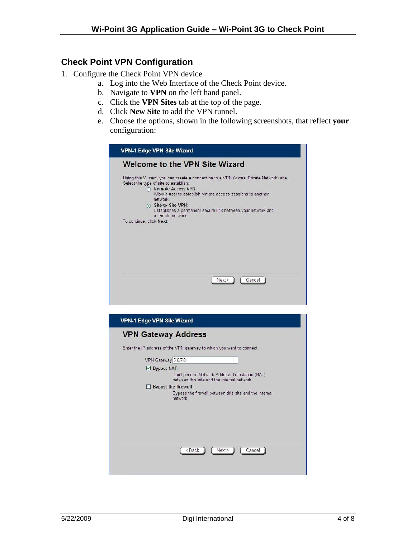#### **Check Point VPN Configuration**

- 1. Configure the Check Point VPN device
	- a. Log into the Web Interface of the Check Point device.
	- b. Navigate to **VPN** on the left hand panel.
	- c. Click the **VPN Sites** tab at the top of the page.
	- d. Click **New Site** to add the VPN tunnel.
	- e. Choose the options, shown in the following screenshots, that reflect **your** configuration:

|                          | <b>Welcome to the VPN Site Wizard</b>                                                                                                                                                                                                                                                                                                             |
|--------------------------|---------------------------------------------------------------------------------------------------------------------------------------------------------------------------------------------------------------------------------------------------------------------------------------------------------------------------------------------------|
| To continue, click Next. | Using this Wizard, you can create a connection to a VPN (Virtual Private Network) site.<br>Select the type of site to establish:<br><b>Remote Access VPN:</b><br>Allow a user to establish remote access sessions to another<br>network<br>Site-to-Site VPN:<br>Establishes a permanent secure link between your network and<br>a remote network. |
|                          | Cancel<br>Next >                                                                                                                                                                                                                                                                                                                                  |

| <b>VPN-1 Edge VPN Site Wizard</b>                                                                                                                                                                                       |
|-------------------------------------------------------------------------------------------------------------------------------------------------------------------------------------------------------------------------|
| <b>VPN Gateway Address</b>                                                                                                                                                                                              |
| Enter the IP address of the VPN gateway to which you want to connect.                                                                                                                                                   |
| VPN Gateway 5.6.7.8                                                                                                                                                                                                     |
| $\vee$ Bypass NAT:<br>Don't perform Network Address Translation (NAT)<br>between this site and the internal network<br><b>Bypass the firewall:</b><br>Bypass the firewall between this site and the internal<br>network |
| <back<br>Next &gt;<br/>Cancel</back<br>                                                                                                                                                                                 |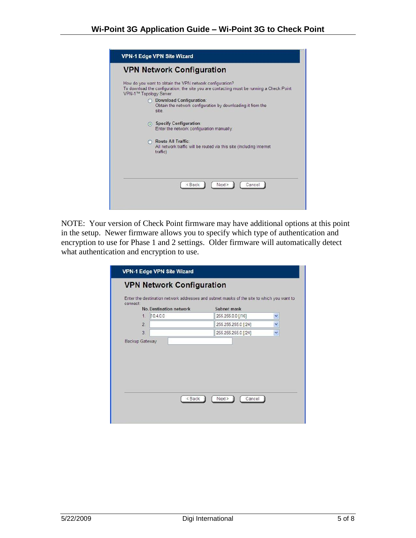| <b>VPN-1 Edge VPN Site Wizard</b>                                                                                                                                                                            |
|--------------------------------------------------------------------------------------------------------------------------------------------------------------------------------------------------------------|
| <b>VPN Network Configuration</b>                                                                                                                                                                             |
| How do you want to obtain the VPN network configuration?<br>To download the configuration, the site you are contacting must be running a Check Point<br>VPN-1™ Topology Server.<br>O Download Configuration: |
| Obtain the network configuration by downloading it from the<br>site.                                                                                                                                         |
| Specify Configuration:<br>Enter the network configuration manually.                                                                                                                                          |
| Route All Traffic:<br>All network traffic will be routed via this site (Including Internet<br>traffic)                                                                                                       |
| <back<br>Next &gt;<br/>Cancel</back<br>                                                                                                                                                                      |

NOTE: Your version of Check Point firmware may have additional options at this point in the setup. Newer firmware allows you to specify which type of authentication and encryption to use for Phase 1 and 2 settings. Older firmware will automatically detect what authentication and encryption to use.

| connect:                       |                     | Enter the destination network addresses and subnet masks of the site to which you want to |
|--------------------------------|---------------------|-------------------------------------------------------------------------------------------|
| <b>No. Destination network</b> | Subnet mask         |                                                                                           |
| 10.4.0.0<br>1                  | 255.255.0.0 [/16]   | ٧                                                                                         |
| 2.                             | 255.255.255.0 [/24] | v                                                                                         |
| $\overline{3}$                 | 255.255.255.0 [/24] | v                                                                                         |
|                                |                     |                                                                                           |
|                                |                     |                                                                                           |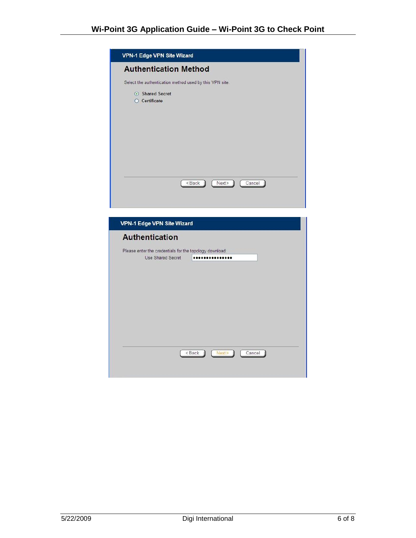| <b>Authentication Method</b><br>Select the authentication method used by this VPN site.<br>Shared Secret |                                                                                 |                                                             |  |
|----------------------------------------------------------------------------------------------------------|---------------------------------------------------------------------------------|-------------------------------------------------------------|--|
|                                                                                                          |                                                                                 |                                                             |  |
|                                                                                                          |                                                                                 |                                                             |  |
|                                                                                                          |                                                                                 |                                                             |  |
|                                                                                                          |                                                                                 |                                                             |  |
|                                                                                                          |                                                                                 |                                                             |  |
| <back< td=""><td>Next &gt;</td><td>Cancel</td><td></td></back<>                                          | Next >                                                                          | Cancel                                                      |  |
|                                                                                                          |                                                                                 |                                                             |  |
|                                                                                                          |                                                                                 |                                                             |  |
|                                                                                                          |                                                                                 |                                                             |  |
|                                                                                                          |                                                                                 |                                                             |  |
|                                                                                                          |                                                                                 |                                                             |  |
|                                                                                                          |                                                                                 |                                                             |  |
|                                                                                                          |                                                                                 |                                                             |  |
|                                                                                                          |                                                                                 |                                                             |  |
|                                                                                                          |                                                                                 |                                                             |  |
|                                                                                                          |                                                                                 |                                                             |  |
|                                                                                                          |                                                                                 |                                                             |  |
|                                                                                                          |                                                                                 |                                                             |  |
|                                                                                                          |                                                                                 |                                                             |  |
|                                                                                                          |                                                                                 |                                                             |  |
|                                                                                                          |                                                                                 |                                                             |  |
|                                                                                                          |                                                                                 |                                                             |  |
| < Back                                                                                                   | Next>                                                                           | Cancel                                                      |  |
|                                                                                                          | <b>VPN-1 Edge VPN Site Wizard</b><br><b>Authentication</b><br>Use Shared Secret | Please enter the credentials for the topology download:<br> |  |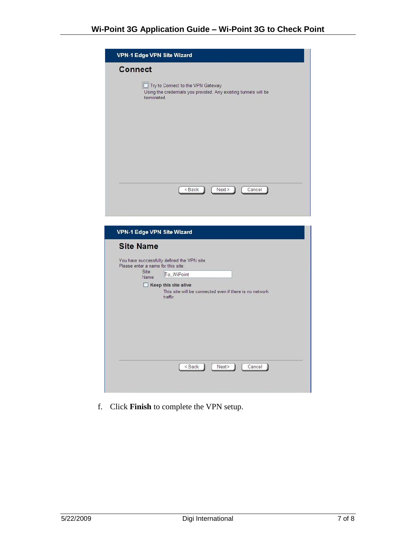| <b>VPN-1 Edge VPN Site Wizard</b>                                                                                                      |
|----------------------------------------------------------------------------------------------------------------------------------------|
| <b>Connect</b><br>Try to Connect to the VPN Gateway<br>Using the credentials you provided. Any existing tunnels will be<br>terminated. |
|                                                                                                                                        |
|                                                                                                                                        |
| <back<br>Next &gt;<br/>Cancel</back<br>                                                                                                |
|                                                                                                                                        |
| <b>VPN-1 Edge VPN Site Wizard</b>                                                                                                      |
| <b>Site Name</b>                                                                                                                       |
| You have successfully defined the VPN site.<br>Please enter a name for this site:                                                      |
| Site<br>To_WiPoint<br>Name                                                                                                             |
| $\Box$ Keep this site alive<br>This site will be connected even if there is no network<br>traffic                                      |
|                                                                                                                                        |
|                                                                                                                                        |
|                                                                                                                                        |
| < Back<br>Next ><br>Cancel                                                                                                             |
|                                                                                                                                        |

f. Click **Finish** to complete the VPN setup.